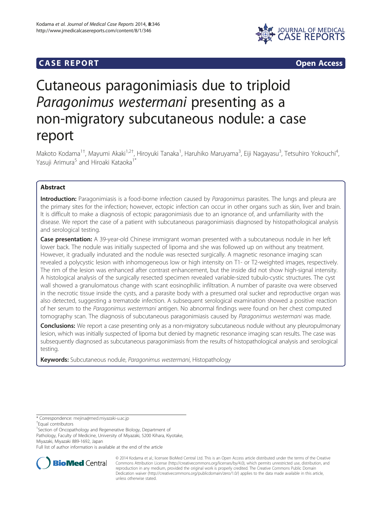## **CASE REPORT CASE REPORT**



# Cutaneous paragonimiasis due to triploid Paragonimus westermani presenting as a non-migratory subcutaneous nodule: a case report

Makoto Kodama<sup>1†</sup>, Mayumi Akaki<sup>1,2†</sup>, Hiroyuki Tanaka<sup>1</sup>, Haruhiko Maruyama<sup>3</sup>, Eiji Nagayasu<sup>3</sup>, Tetsuhiro Yokouchi<sup>4</sup> , Yasuji Arimura<sup>5</sup> and Hiroaki Kataoka<sup>1\*</sup>

## Abstract

Introduction: Paragonimiasis is a food-borne infection caused by Paragonimus parasites. The lungs and pleura are the primary sites for the infection; however, ectopic infection can occur in other organs such as skin, liver and brain. It is difficult to make a diagnosis of ectopic paragonimiasis due to an ignorance of, and unfamiliarity with the disease. We report the case of a patient with subcutaneous paragonimiasis diagnosed by histopathological analysis and serological testing.

Case presentation: A 39-year-old Chinese immigrant woman presented with a subcutaneous nodule in her left lower back. The nodule was initially suspected of lipoma and she was followed up on without any treatment. However, it gradually indurated and the nodule was resected surgically. A magnetic resonance imaging scan revealed a polycystic lesion with inhomogeneous low or high intensity on T1- or T2-weighted images, respectively. The rim of the lesion was enhanced after contrast enhancement, but the inside did not show high-signal intensity. A histological analysis of the surgically resected specimen revealed variable-sized tubulo-cystic structures. The cyst wall showed a granulomatous change with scant eosinophilic infiltration. A number of parasite ova were observed in the necrotic tissue inside the cysts, and a parasite body with a presumed oral sucker and reproductive organ was also detected, suggesting a trematode infection. A subsequent serological examination showed a positive reaction of her serum to the Paragonimus westermani antigen. No abnormal findings were found on her chest computed tomography scan. The diagnosis of subcutaneous paragonimiasis caused by Paragonimus westermani was made.

**Conclusions:** We report a case presenting only as a non-migratory subcutaneous nodule without any pleuropulmonary lesion, which was initially suspected of lipoma but denied by magnetic resonance imaging scan results. The case was subsequently diagnosed as subcutaneous paragonimiasis from the results of histopathological analysis and serological testing.

Keywords: Subcutaneous nodule, Paragonimus westermani, Histopathology

Miyazaki, Miyazaki 889-1692, Japan

Full list of author information is available at the end of the article



© 2014 Kodama et al.; licensee BioMed Central Ltd. This is an Open Access article distributed under the terms of the Creative Commons Attribution License [\(http://creativecommons.org/licenses/by/4.0\)](http://creativecommons.org/licenses/by/4.0), which permits unrestricted use, distribution, and reproduction in any medium, provided the original work is properly credited. The Creative Commons Public Domain Dedication waiver [\(http://creativecommons.org/publicdomain/zero/1.0/](http://creativecommons.org/publicdomain/zero/1.0/)) applies to the data made available in this article, unless otherwise stated.

<sup>\*</sup> Correspondence: [mejina@med.miyazaki-u.ac.jp](mailto:mejina@med.miyazaki-u.ac.jp) †

Equal contributors

<sup>&</sup>lt;sup>1</sup>Section of Oncopathology and Regenerative Biology, Department of Pathology, Faculty of Medicine, University of Miyazaki, 5200 Kihara, Kiyotake,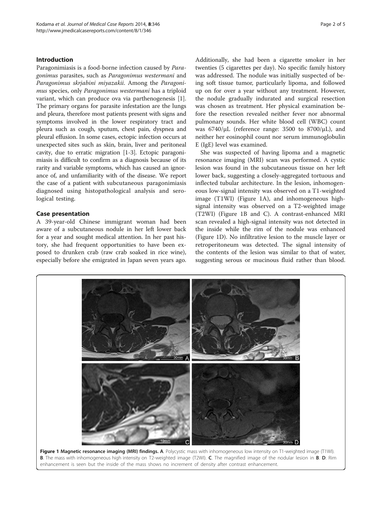## Introduction

Paragonimiasis is a food-borne infection caused by Paragonimus parasites, such as Paragonimus westermani and Paragonimus skrjabini miyazakii. Among the Paragonimus species, only Paragonimus westermani has a triploid variant, which can produce ova via parthenogenesis [\[1](#page-4-0)]. The primary organs for parasite infestation are the lungs and pleura, therefore most patients present with signs and symptoms involved in the lower respiratory tract and pleura such as cough, sputum, chest pain, dyspnea and pleural effusion. In some cases, ectopic infection occurs at unexpected sites such as skin, brain, liver and peritoneal cavity, due to erratic migration [\[1-3](#page-4-0)]. Ectopic paragonimiasis is difficult to confirm as a diagnosis because of its rarity and variable symptoms, which has caused an ignorance of, and unfamiliarity with of the disease. We report the case of a patient with subcutaneous paragonimiasis diagnosed using histopathological analysis and serological testing.

## Case presentation

A 39-year-old Chinese immigrant woman had been aware of a subcutaneous nodule in her left lower back for a year and sought medical attention. In her past history, she had frequent opportunities to have been exposed to drunken crab (raw crab soaked in rice wine), especially before she emigrated in Japan seven years ago. Additionally, she had been a cigarette smoker in her twenties (5 cigarettes per day). No specific family history was addressed. The nodule was initially suspected of being soft tissue tumor, particularly lipoma, and followed up on for over a year without any treatment. However, the nodule gradually indurated and surgical resection was chosen as treatment. Her physical examination before the resection revealed neither fever nor abnormal pulmonary sounds. Her white blood cell (WBC) count was 6740/μL (reference range: 3500 to 8700/μL), and neither her eosinophil count nor serum immunoglobulin E (IgE) level was examined.

She was suspected of having lipoma and a magnetic resonance imaging (MRI) scan was performed. A cystic lesion was found in the subcutaneous tissue on her left lower back, suggesting a closely-aggregated tortuous and inflected tubular architecture. In the lesion, inhomogeneous low-signal intensity was observed on a T1-weighted image (T1WI) (Figure 1A), and inhomogeneous highsignal intensity was observed on a T2-weighted image (T2WI) (Figure 1B and C). A contrast-enhanced MRI scan revealed a high-signal intensity was not detected in the inside while the rim of the nodule was enhanced (Figure 1D). No infiltrative lesion to the muscle layer or retroperitoneum was detected. The signal intensity of the contents of the lesion was similar to that of water, suggesting serous or mucinous fluid rather than blood.



B. The mass with inhomogeneous high intensity on T2-weighted image (T2WI). C. The magnified image of the nodular lesion in B. D. Rim enhancement is seen but the inside of the mass shows no increment of density after contrast enhancement.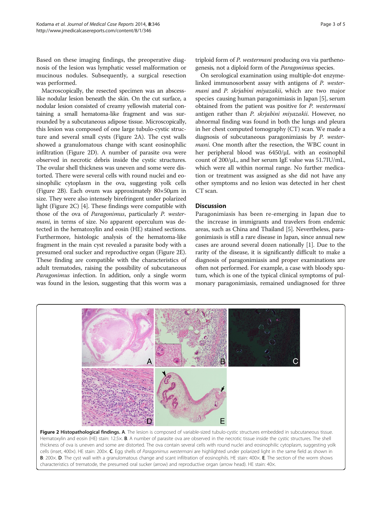Based on these imaging findings, the preoperative diagnosis of the lesion was lymphatic vessel malformation or mucinous nodules. Subsequently, a surgical resection was performed.

Macroscopically, the resected specimen was an abscesslike nodular lesion beneath the skin. On the cut surface, a nodular lesion consisted of creamy yellowish material containing a small hematoma-like fragment and was surrounded by a subcutaneous adipose tissue. Microscopically, this lesion was composed of one large tubulo-cystic structure and several small cysts (Figure 2A). The cyst walls showed a granulomatous change with scant eosinophilic infiltration (Figure 2D). A number of parasite ova were observed in necrotic debris inside the cystic structures. The ovular shell thickness was uneven and some were distorted. There were several cells with round nuclei and eosinophilic cytoplasm in the ova, suggesting yolk cells (Figure 2B). Each ovum was approximately 80×50μm in size. They were also intensely birefringent under polarized light (Figure 2C) [\[4](#page-4-0)]. These findings were compatible with those of the ova of Paragonimus, particularly P. westermani, in terms of size. No apparent operculum was detected in the hematoxylin and eosin (HE) stained sections. Furthermore, histologic analysis of the hematoma-like fragment in the main cyst revealed a parasite body with a presumed oral sucker and reproductive organ (Figure 2E). These finding are compatible with the characteristics of adult trematodes, raising the possibility of subcutaneous Paragonimus infection. In addition, only a single worm was found in the lesion, suggesting that this worm was a

triploid form of P. westermani producing ova via parthenogenesis, not a diploid form of the Paragonimus species.

On serological examination using multiple-dot enzymelinked immunosorbent assay with antigens of P. westermani and P. skrjabini miyazakii, which are two major species causing human paragonimiasis in Japan [\[5\]](#page-4-0), serum obtained from the patient was positive for P. westermani antigen rather than P. skrjabini miyazakii. However, no abnormal finding was found in both the lungs and pleura in her chest computed tomography (CT) scan. We made a diagnosis of subcutaneous paragonimiasis by P. westermani. One month after the resection, the WBC count in her peripheral blood was 6450/μL with an eosinophil count of 200/μL, and her serum IgE value was 51.7IU/mL, which were all within normal range. No further medication or treatment was assigned as she did not have any other symptoms and no lesion was detected in her chest CT scan.

#### **Discussion**

Paragonimiasis has been re-emerging in Japan due to the increase in immigrants and travelers from endemic areas, such as China and Thailand [[5\]](#page-4-0). Nevertheless, paragonimiasis is still a rare disease in Japan, since annual new cases are around several dozen nationally [[1](#page-4-0)]. Due to the rarity of the disease, it is significantly difficult to make a diagnosis of paragonimiasis and proper examinations are often not performed. For example, a case with bloody sputum, which is one of the typical clinical symptoms of pulmonary paragonimiasis, remained undiagnosed for three



Figure 2 Histopathological findings. A. The lesion is composed of variable-sized tubulo-cystic structures embedded in subcutaneous tissue. Hematoxylin and eosin (HE) stain: 12.5x. **B**. A number of parasite ova are observed in the necrotic tissue inside the cystic structures. The shell thickness of ova is uneven and some are distorted. The ova contain several cells with round nuclei and eosinophilic cytoplasm, suggesting yolk cells (inset, 400x). HE stain: 200x. C. Egg shells of Paragonimus westermani are highlighted under polarized light in the same field as shown in B: 200x. D. The cyst wall with a granulomatous change and scant infiltration of eosinophils. HE stain: 400x. E. The section of the worm shows characteristics of trematode, the presumed oral sucker (arrow) and reproductive organ (arrow head). HE stain: 40×.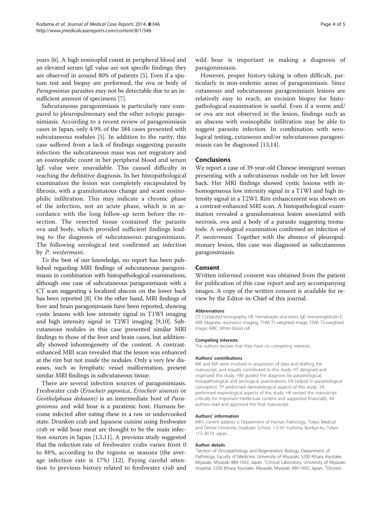years [[6\]](#page-4-0). A high eosinophil count in peripheral blood and an elevated serum IgE value are not specific findings; they are observed in around 80% of patients [[5](#page-4-0)]. Even if a sputum test and biopsy are performed, the ova or body of Paragonimus parasites may not be detectable due to an insufficient amount of specimens [\[7\]](#page-4-0).

Subcutaneous paragonimiasis is particularly rare compared to pleuropulmonary and the other ectopic paragonimiasis. According to a recent review of paragonimiasis cases in Japan, only 4.9% of the 384 cases presented with subcutaneous nodules [[5\]](#page-4-0). In addition to the rarity, this case suffered from a lack of findings suggesting parasite infection: the subcutaneous mass was not migratory and an eosinophilic count in her peripheral blood and serum IgE value were unavailable. This caused difficulty in reaching the definitive diagnosis. In her histopathological examination the lesion was completely encapsulated by fibrosis, with a granulomatous change and scant eosinophilic infiltration. This may indicate a chronic phase of the infection, not an acute phase, which is in accordance with the long follow-up term before the resection. The resected tissue contained the parasite ova and body, which provided sufficient findings leading to the diagnosis of subcutaneous paragonimiasis. The following serological test confirmed an infection by P. westermani.

To the best of our knowledge, no report has been published regarding MRI findings of subcutaneous paragonimiasis in combination with histopathological examinations, although one case of subcutaneous paragonimiasis with a CT scan suggesting a localized abscess on the lower back has been reported [\[8](#page-4-0)]. On the other hand, MRI findings of liver and brain paragonimiasis have been reported, showing cystic lesions with low intensity signal in T1WI imaging and high intensity signal in T2WI imaging [\[9,10](#page-4-0)]. Subcutaneous nodules in this case presented similar MRI findings to those of the liver and brain cases, but additionally showed inhomogeneity of the content. A contrastenhanced MRI scan revealed that the lesion was enhanced at the rim but not inside the nodules. Only a very few diseases, such as lymphatic vessel malformation, present similar MRI findings in subcutaneous tissue.

There are several infection sources of paragonimiasis. Freshwater crab (Eriocheir japonica, Eriocheir sinensis or Geothelphusa dehaani) is an intermediate host of Paragonimus and wild boar is a paratenic host. Humans become infected after eating these in a raw or undercooked state. Drunken crab and Japanese cuisine using freshwater crab or wild boar meat are thought to be the main infection sources in Japan [\[1,5,11\]](#page-4-0). A previous study suggested that the infection rate of freshwater crabs varies from 0 to 88%, according to the regions or seasons (the average infection rate is 17%) [\[12](#page-4-0)]. Paying careful attention to previous history related to freshwater crab and

wild boar is important in making a diagnosis of paragonimiasis.

However, proper history-taking is often difficult, particularly in non-endemic areas of paragonimiasis. Since cutaneous and subcutaneous paragonimiasis lesions are relatively easy to reach, an excision biopsy for histopathological examination is useful. Even if a worm and/ or ova are not observed in the lesion, findings such as an abscess with eosinophilic infiltration may be able to suggest parasite infection. In combination with serological testing, cutaneous and/or subcutaneous paragonimiasis can be diagnosed [[13](#page-4-0),[14](#page-4-0)].

#### **Conclusions**

We report a case of 39-year-old Chinese immigrant woman presenting with a subcutaneous nodule on her left lower back. Her MRI findings showed cystic lesions with inhomogeneous low intensity signal in a T1WI and high intensity signal in a T2WI. Rim enhancement was shown on a contrast-enhanced MRI scan. A histopathological examination revealed a granulomatous lesion associated with necrosis, ova and a body of a parasite suggesting trematode. A serological examination confirmed an infection of P. westermani. Together with the absence of pleuropulmonary lesion, this case was diagnosed as subcutaneous paragonimiasis.

#### Consent

Written informed consent was obtained from the patient for publication of this case report and any accompanying images. A copy of the written consent is available for review by the Editor-in-Chief of this journal.

#### Abbreviations

CT: Computed tomography; HE: Hematoxylin and eosin; IgE: Immunoglobulin E; MRI: Magnetic resonance imaging; T1WI: T1-weighted image; T2WI: T2-weighted image; WBC: White blood cell.

#### Competing interests

The authors declare that they have no competing interests.

#### Authors' contributions

MK and MA were involved in acquisition of data and drafting the manuscript, and equally contributed to this study. HT designed and organized this study. HM guided the diagnosis by parasitological, histopathological and serological examinations. EN helped in parasitological conception. TY performed dermatological aspects of this study. YA performed respirological aspects of this study. HK revised the manuscript critically for important intellectual content and supported financially. All authors read and approved the final manuscript.

#### Authors' information

MK's current address is Department of Human Pathology, Tokyo Medical and Dental University Graduate School, 1-5-45 Yushima, Bunkyo-ku, Tokyo 113–8510, Japan.

#### Author details

<sup>1</sup>Section of Oncopathology and Regenerative Biology, Department of Pathology, Faculty of Medicine, University of Miyazaki, 5200 Kihara, Kiyotake, Miyazaki, Miyazaki 889-1692, Japan. <sup>2</sup>Clinical Laboratory, University of Miyazaki Hospital, 5200 Kihara, Kiyotake, Miyazaki, Miyazaki 889-1692, Japan. <sup>3</sup>Division